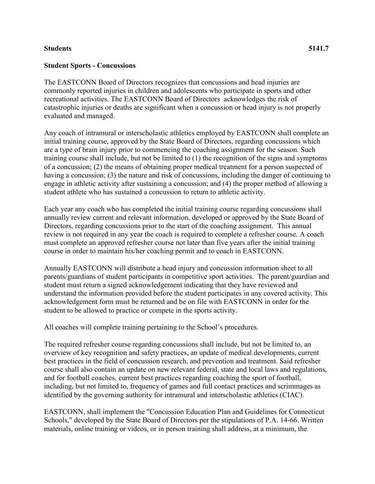## **Students 5141.7**

## **Student Sports - Concussions**

The EASTCONN Board of Directors recognizes that concussions and head injuries are commonly reported injuries in children and adolescents who participate in sports and other recreational activities. The EASTCONN Board of Directors acknowledges the risk of catastrophic injuries or deaths are significant when a concussion or head injury is not properly evaluated and managed.

Any coach of intramural or interscholastic athletics employed by EASTCONN shall complete an initial training course, approved by the State Board of Directors, regarding concussions which are a type of brain injury prior to commencing the coaching assignment for the season. Such training course shall include, but not be limited to (1) the recognition of the signs and symptoms of a concussion; (2) the means of obtaining proper medical treatment for a person suspected of having a concussion; (3) the nature and risk of concussions, including the danger of continuing to engage in athletic activity after sustaining a concussion; and (4) the proper method of allowing a student athlete who has sustained a concussion to return to athletic activity.

Each year any coach who has completed the initial training course regarding concussions shall annually review current and relevant information, developed or approved by the State Board of Directors, regarding concussions prior to the start of the coaching assignment. This annual review is not required in any year the coach is required to complete a refresher course. A coach must complete an approved refresher course not later than five years after the initial training course in order to maintain his/her coaching permit and to coach in EASTCONN.

Annually EASTCONN will distribute a head injury and concussion information sheet to all parents/guardians of student participants in competitive sport activities. The parent/guardian and student must return a signed acknowledgement indicating that they have reviewed and understand the information provided before the student participates in any covered activity. This acknowledgement form must be returned and be on file with EASTCONN in order for the student to be allowed to practice or compete in the sports activity.

All coaches will complete training pertaining to the School's procedures.

The required refresher course regarding concussions shall include, but not be limited to, an overview of key recognition and safety practices, an update of medical developments, current best practices in the field of concussion research, and prevention and treatment. Said refresher course shall also contain an update on new relevant federal, state and local laws and regulations, and for football coaches, current best practices regarding coaching the sport of football, including, but not limited to, frequency of games and full contact practices and scrimmages as identified by the governing authority for intramural and interscholastic athletics (CIAC).

EASTCONN, shall implement the "Concussion Education Plan and Guidelines for Connecticut Schools," developed by the State Board of Directors per the stipulations of P.A. 14-66. Written materials, online training or videos, or in person training shall address, at a minimum, the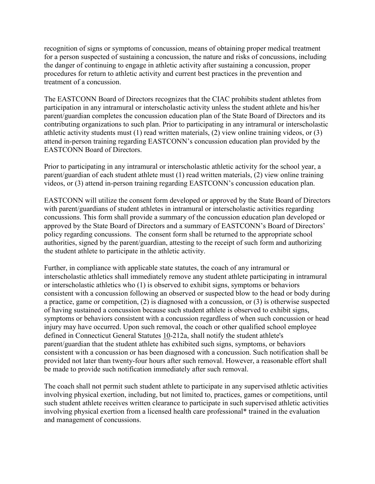recognition of signs or symptoms of concussion, means of obtaining proper medical treatment for a person suspected of sustaining a concussion, the nature and risks of concussions, including the danger of continuing to engage in athletic activity after sustaining a concussion, proper procedures for return to athletic activity and current best practices in the prevention and treatment of a concussion.

The EASTCONN Board of Directors recognizes that the CIAC prohibits student athletes from participation in any intramural or interscholastic activity unless the student athlete and his/her parent/guardian completes the concussion education plan of the State Board of Directors and its contributing organizations to such plan. Prior to participating in any intramural or interscholastic athletic activity students must (1) read written materials, (2) view online training videos, or (3) attend in-person training regarding EASTCONN's concussion education plan provided by the EASTCONN Board of Directors.

Prior to participating in any intramural or interscholastic athletic activity for the school year, a parent/guardian of each student athlete must (1) read written materials, (2) view online training videos, or (3) attend in-person training regarding EASTCONN's concussion education plan.

EASTCONN will utilize the consent form developed or approved by the State Board of Directors with parent/guardians of student athletes in intramural or interscholastic activities regarding concussions. This form shall provide a summary of the concussion education plan developed or approved by the State Board of Directors and a summary of EASTCONN's Board of Directors' policy regarding concussions. The consent form shall be returned to the appropriate school authorities, signed by the parent/guardian, attesting to the receipt of such form and authorizing the student athlete to participate in the athletic activity.

Further, in compliance with applicable state statutes, the coach of any intramural or interscholastic athletics shall immediately remove any student athlete participating in intramural or interscholastic athletics who (1) is observed to exhibit signs, symptoms or behaviors consistent with a concussion following an observed or suspected blow to the head or body during a practice, game or competition, (2) is diagnosed with a concussion, or (3) is otherwise suspected of having sustained a concussion because such student athlete is observed to exhibit signs, symptoms or behaviors consistent with a concussion regardless of when such concussion or head injury may have occurred. Upon such removal, the coach or other qualified school employee defined in Connecticut General Statutes [10-](http://www.cga.ct.gov/2011/pub/Title10.htm)212a, shall notify the student athlete's parent/guardian that the student athlete has exhibited such signs, symptoms, or behaviors consistent with a concussion or has been diagnosed with a concussion. Such notification shall be provided not later than twenty-four hours after such removal. However, a reasonable effort shall be made to provide such notification immediately after such removal.

The coach shall not permit such student athlete to participate in any supervised athletic activities involving physical exertion, including, but not limited to, practices, games or competitions, until such student athlete receives written clearance to participate in such supervised athletic activities involving physical exertion from a licensed health care professional\* trained in the evaluation and management of concussions.